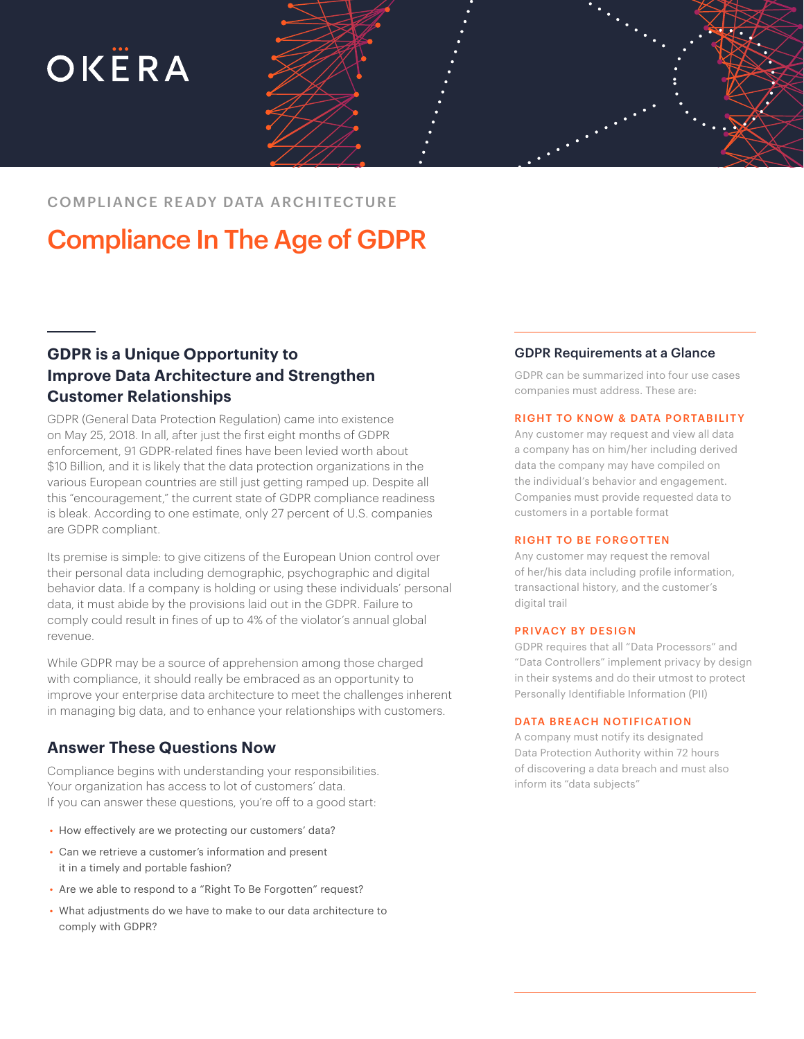# OKËRA



COMPLIANCE READY DATA ARCHITECTURE

## Compliance In The Age of GDPR

### **GDPR is a Unique Opportunity to Improve Data Architecture and Strengthen Customer Relationships**

GDPR (General Data Protection Regulation) came into existence on May 25, 2018. In all, after just the first eight months of GDPR enforcement, 91 GDPR-related fines have been levied worth about \$10 Billion, and it is likely that the data protection organizations in the various European countries are still just getting ramped up. Despite all this "encouragement," the current state of GDPR compliance readiness is bleak. According to one estimate, only 27 percent of U.S. companies are GDPR compliant.

Its premise is simple: to give citizens of the European Union control over their personal data including demographic, psychographic and digital behavior data. If a company is holding or using these individuals' personal data, it must abide by the provisions laid out in the GDPR. Failure to comply could result in fines of up to 4% of the violator's annual global revenue.

While GDPR may be a source of apprehension among those charged with compliance, it should really be embraced as an opportunity to improve your enterprise data architecture to meet the challenges inherent in managing big data, and to enhance your relationships with customers.

#### **Answer These Questions Now**

Compliance begins with understanding your responsibilities. Your organization has access to lot of customers' data. If you can answer these questions, you're off to a good start:

- How effectively are we protecting our customers' data?
- Can we retrieve a customer's information and present it in a timely and portable fashion?
- Are we able to respond to a "Right To Be Forgotten" request?
- What adjustments do we have to make to our data architecture to comply with GDPR?

#### GDPR Requirements at a Glance

GDPR can be summarized into four use cases companies must address. These are:

#### RIGHT TO KNOW & DATA PORTABILITY

Any customer may request and view all data a company has on him/her including derived data the company may have compiled on the individual's behavior and engagement. Companies must provide requested data to customers in a portable format

#### RIGHT TO BE FORGOTTEN

Any customer may request the removal of her/his data including profile information, transactional history, and the customer's digital trail

#### PRIVACY BY DESIGN

GDPR requires that all "Data Processors" and "Data Controllers" implement privacy by design in their systems and do their utmost to protect Personally Identifiable Information (PII)

#### DATA BREACH NOTIFICATION

A company must notify its designated Data Protection Authority within 72 hours of discovering a data breach and must also inform its "data subjects"